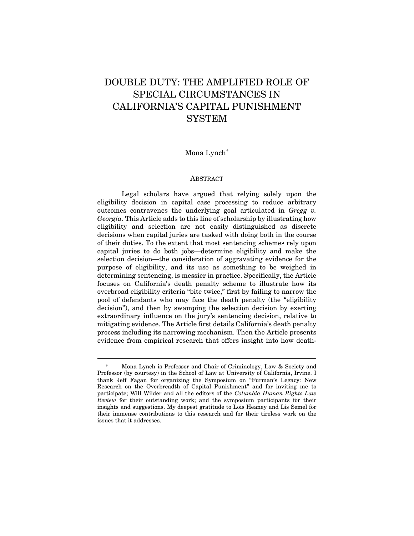# DOUBLE DUTY: THE AMPLIFIED ROLE OF SPECIAL CIRCUMSTANCES IN CALIFORNIA'S CAPITAL PUNISHMENT **SYSTEM**

## Mona Lynch[\\*](#page-0-0)

#### **ABSTRACT**

Legal scholars have argued that relying solely upon the eligibility decision in capital case processing to reduce arbitrary outcomes contravenes the underlying goal articulated in *Gregg v. Georgia*. This Article adds to this line of scholarship by illustrating how eligibility and selection are not easily distinguished as discrete decisions when capital juries are tasked with doing both in the course of their duties. To the extent that most sentencing schemes rely upon capital juries to do both jobs—determine eligibility and make the selection decision—the consideration of aggravating evidence for the purpose of eligibility, and its use as something to be weighed in determining sentencing, is messier in practice. Specifically, the Article focuses on California's death penalty scheme to illustrate how its overbroad eligibility criteria "bite twice," first by failing to narrow the pool of defendants who may face the death penalty (the "eligibility decision"), and then by swamping the selection decision by exerting extraordinary influence on the jury's sentencing decision, relative to mitigating evidence. The Article first details California's death penalty process including its narrowing mechanism. Then the Article presents evidence from empirical research that offers insight into how death-

<span id="page-0-0"></span>Mona Lynch is Professor and Chair of Criminology, Law & Society and Professor (by courtesy) in the School of Law at University of California, Irvine. I thank Jeff Fagan for organizing the Symposium on "Furman's Legacy: New Research on the Overbreadth of Capital Punishment" and for inviting me to participate; Will Wilder and all the editors of the *Columbia Human Rights Law Review* for their outstanding work; and the symposium participants for their insights and suggestions. My deepest gratitude to Lois Heaney and Lis Semel for their immense contributions to this research and for their tireless work on the issues that it addresses.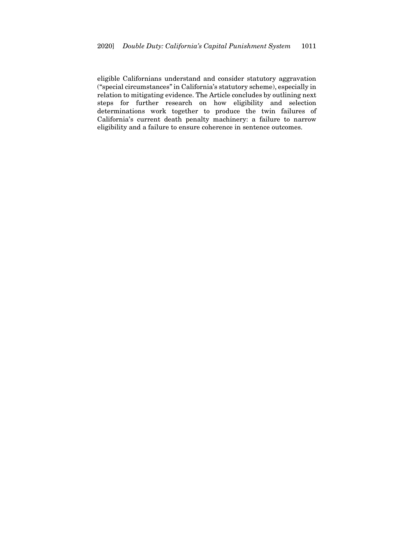eligible Californians understand and consider statutory aggravation ("special circumstances" in California's statutory scheme), especially in relation to mitigating evidence. The Article concludes by outlining next steps for further research on how eligibility and selection determinations work together to produce the twin failures of California's current death penalty machinery: a failure to narrow eligibility and a failure to ensure coherence in sentence outcomes.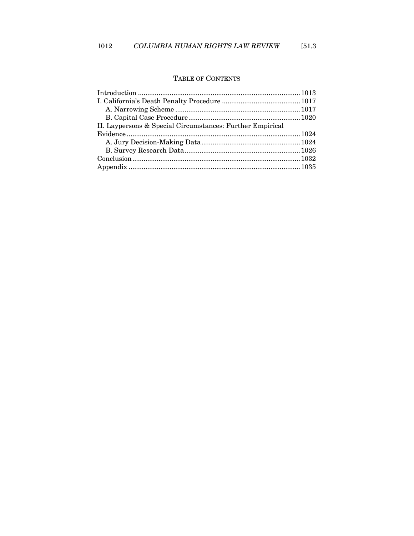## TABLE OF CONTENTS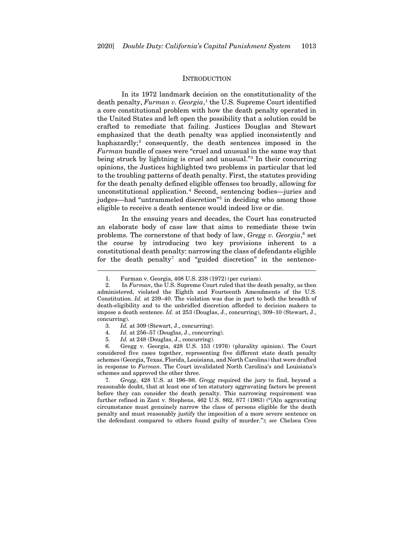#### **INTRODUCTION**

<span id="page-3-0"></span>In its 1972 landmark decision on the constitutionality of the death penalty, *Furman v. Georgia*, [1](#page-3-1) the U.S. Supreme Court identified a core constitutional problem with how the death penalty operated in the United States and left open the possibility that a solution could be crafted to remediate that failing. Justices Douglas and Stewart emphasized that the death penalty was applied inconsistently and haphazardly;<sup>[2](#page-3-2)</sup> consequently, the death sentences imposed in the *Furman* bundle of cases were "cruel and unusual in the same way that being struck by lightning is cruel and unusual."[3](#page-3-3) In their concurring opinions, the Justices highlighted two problems in particular that led to the troubling patterns of death penalty. First, the statutes providing for the death penalty defined eligible offenses too broadly, allowing for unconstitutional application.[4](#page-3-4) Second, sentencing bodies—juries and judges—had "untrammeled discretion"[5](#page-3-5) in deciding who among those eligible to receive a death sentence would indeed live or die.

In the ensuing years and decades, the Court has constructed an elaborate body of case law that aims to remediate these twin problems. The cornerstone of that body of law, *Gregg v. Georgia*, [6](#page-3-6) set the course by introducing two key provisions inherent to a constitutional death penalty: narrowing the class of defendants eligible for the death penalty<sup>[7](#page-3-7)</sup> and "guided discretion" in the sentence-

5*. Id.* at 248 (Douglas, J., concurring).

<span id="page-3-6"></span><span id="page-3-5"></span><span id="page-3-4"></span><span id="page-3-3"></span>6*.* Gregg v. Georgia, 428 U.S. 153 (1976) (plurality opinion). The Court considered five cases together, representing five different state death penalty schemes (Georgia, Texas, Florida, Louisiana, and North Carolina) that were drafted in response to *Furman*. The Court invalidated North Carolina's and Louisiana's schemes and approved the other three.

<span id="page-3-7"></span>7*. Gregg*, 428 U.S. at 196–98. *Gregg* required the jury to find, beyond a reasonable doubt, that at least one of ten statutory aggravating factors be present before they can consider the death penalty. This narrowing requirement was further refined in Zant v. Stephens, 462 U.S. 862, 877 (1983) ("[A]n aggravating circumstance must genuinely narrow the class of persons eligible for the death penalty and must reasonably justify the imposition of a more severe sentence on the defendant compared to others found guilty of murder."); *see* Chelsea Creo

<span id="page-3-8"></span><sup>1</sup>*.* Furman v. Georgia, 408 U.S. 238 (1972) (per curiam).

<span id="page-3-2"></span><span id="page-3-1"></span><sup>2.</sup> In *Furman*, the U.S. Supreme Court ruled that the death penalty, as then administered, violated the Eighth and Fourteenth Amendments of the U.S. Constitution. *Id.* at 239–40. The violation was due in part to both the breadth of death-eligibility and to the unbridled discretion afforded to decision makers to impose a death sentence. *Id.* at 253 (Douglas, J., concurring), 309–10 (Stewart, J., concurring).

<sup>3</sup>*. Id.* at 309 (Stewart, J., concurring).

<sup>4</sup>*. Id.* at 256–57 (Douglas, J., concurring).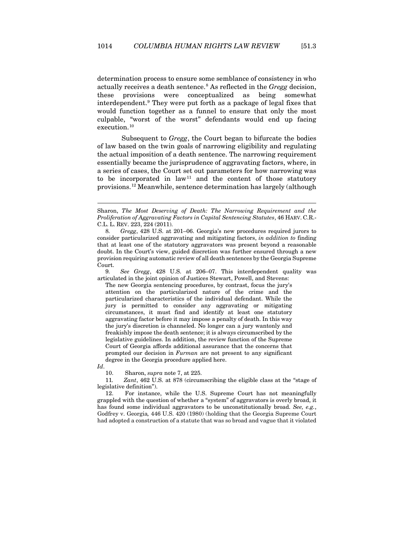determination process to ensure some semblance of consistency in who actually receives a death sentence.[8](#page-4-0) As reflected in the *Gregg* decision, these provisions were conceptualized as being somewhat interdependent. [9](#page-4-1) They were put forth as a package of legal fixes that would function together as a funnel to ensure that only the most culpable, "worst of the worst" defendants would end up facing execution.<sup>[10](#page-4-2)</sup>

Subsequent to *Gregg*, the Court began to bifurcate the bodies of law based on the twin goals of narrowing eligibility and regulating the actual imposition of a death sentence. The narrowing requirement essentially became the jurisprudence of aggravating factors, where, in a series of cases, the Court set out parameters for how narrowing was to be incorporated in law<sup>[11](#page-4-3)</sup> and the content of those statutory provisions.[12](#page-4-4) Meanwhile, sentence determination has largely (although

<span id="page-4-1"></span>9*. See Gregg*, 428 U.S. at 206–07. This interdependent quality was articulated in the joint opinion of Justices Stewart, Powell, and Stevens:

The new Georgia sentencing procedures, by contrast, focus the jury's attention on the particularized nature of the crime and the particularized characteristics of the individual defendant. While the jury is permitted to consider any aggravating or mitigating circumstances, it must find and identify at least one statutory aggravating factor before it may impose a penalty of death. In this way the jury's discretion is channeled. No longer can a jury wantonly and freakishly impose the death sentence; it is always circumscribed by the legislative guidelines. In addition, the review function of the Supreme Court of Georgia affords additional assurance that the concerns that prompted our decision in *Furman* are not present to any significant degree in the Georgia procedure applied here.

<span id="page-4-2"></span>*Id*.

10. Sharon, *supra* not[e 7,](#page-3-8) at 225.

<span id="page-4-3"></span>11*. Zant*, 462 U.S. at 878 (circumscribing the eligible class at the "stage of legislative definition").

<span id="page-4-4"></span>12. For instance, while the U.S. Supreme Court has not meaningfully grappled with the question of whether a "system" of aggravators is overly broad, it has found some individual aggravators to be unconstitutionally broad. *See, e.g.*, Godfrey v. Georgia*,* 446 U.S. 420 (1980) (holding that the Georgia Supreme Court had adopted a construction of a statute that was so broad and vague that it violated

Sharon, *The Most Deserving of Death: The Narrowing Requirement and the Proliferation of Aggravating Factors in Capital Sentencing Statutes*, 46 HARV. C.R.- C.L. L. REV. 223, 224 (2011).

<span id="page-4-0"></span><sup>8</sup>*. Gregg*, 428 U.S. at 201–06. Georgia's new procedures required jurors to consider particularized aggravating and mitigating factors, *in addition to* finding that at least one of the statutory aggravators was present beyond a reasonable doubt. In the Court's view, guided discretion was further ensured through a new provision requiring automatic review of all death sentences by the Georgia Supreme Court.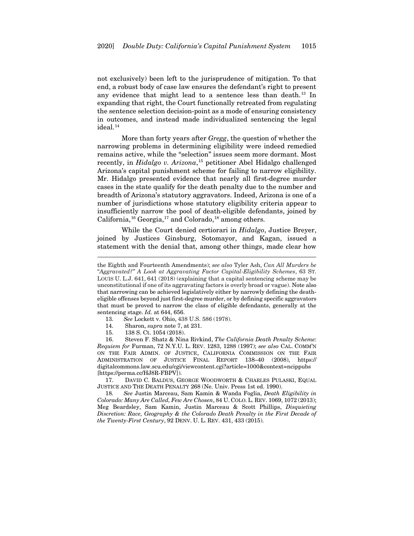not exclusively) been left to the jurisprudence of mitigation. To that end, a robust body of case law ensures the defendant's right to present any evidence that might lead to a sentence less than death.<sup>[13](#page-5-0)</sup> In expanding that right, the Court functionally retreated from regulating the sentence selection decision-point as a mode of ensuring consistency in outcomes, and instead made individualized sentencing the legal ideal.<sup>[14](#page-5-1)</sup>

More than forty years after *Gregg*, the question of whether the narrowing problems in determining eligibility were indeed remedied remains active, while the "selection" issues seem more dormant. Most recently, in *Hidalgo v. Arizona*, [15](#page-5-2) petitioner Abel Hidalgo challenged Arizona's capital punishment scheme for failing to narrow eligibility. Mr. Hidalgo presented evidence that nearly all first-degree murder cases in the state qualify for the death penalty due to the number and breadth of Arizona's statutory aggravators. Indeed, Arizona is one of a number of jurisdictions whose statutory eligibility criteria appear to insufficiently narrow the pool of death-eligible defendants, joined by California,<sup>[16](#page-5-3)</sup> Georgia,<sup>[17](#page-5-4)</sup> and Colorado,<sup>[18](#page-5-5)</sup> among others.

<span id="page-5-6"></span>While the Court denied certiorari in *Hidalgo*, Justice Breyer, joined by Justices Ginsburg, Sotomayor, and Kagan, issued a statement with the denial that, among other things, made clear how

- 13*. See* Lockett v. Ohio, 438 U.S. 586 (1978).
- 14. Sharon, *supra* not[e 7,](#page-3-8) at 231.
- 15. 138 S. Ct. 1054 (2018).

<span id="page-5-3"></span><span id="page-5-2"></span><span id="page-5-1"></span><span id="page-5-0"></span>16. Steven F. Shatz & Nina Rivkind, *The California Death Penalty Scheme: Requiem for* Furman, 72 N.Y.U. L. REV. 1283, 1288 (1997); *see also* CAL. COMM'N ON THE FAIR ADMIN. OF JUSTICE, CALIFORNIA COMMISSION ON THE FAIR ADMINISTRATION OF JUSTICE FINAL REPORT 138–40 (2008), https:// digitalcommons.law.scu.edu/cgi/viewcontent.cgi?article=1000&context=ncippubs [https://perma.cc/HJ8R-FBPV]).

<span id="page-5-4"></span>17. DAVID C. BALDUS, GEORGE WOODWORTH & CHARLES PULASKI, EQUAL JUSTICE AND THE DEATH PENALTY 268 (Ne. Univ. Press 1st ed. 1990).

<span id="page-5-5"></span>18*. See* Justin Marceau, Sam Kamin & Wanda Foglia, *Death Eligibility in Colorado: Many Are Called, Few Are Chosen*, 84 U. COLO. L. REV. 1069, 1072 (2013); Meg Beardsley, Sam Kamin, Justin Marceau & Scott Phillips, *Disquieting Discretion: Race, Geography & the Colorado Death Penalty in the First Decade of the Twenty-First Century*, 92 DENV. U. L. REV. 431, 433 (2015).

the Eighth and Fourteenth Amendments); *see also* Tyler Ash, *Can All Murders be "Aggravated?" A Look at Aggravating Factor Capital-Eligibility Schemes*, 63 ST. LOUIS U. L.J. 641, 641 (2018) (explaining that a capital sentencing scheme may be unconstitutional if one of its aggravating factors is overly broad or vague). Note also that narrowing can be achieved legislatively either by narrowly defining the deatheligible offenses beyond just first-degree murder, or by defining specific aggravators that must be proved to narrow the class of eligible defendants, generally at the sentencing stage. *Id.* at 644, 656.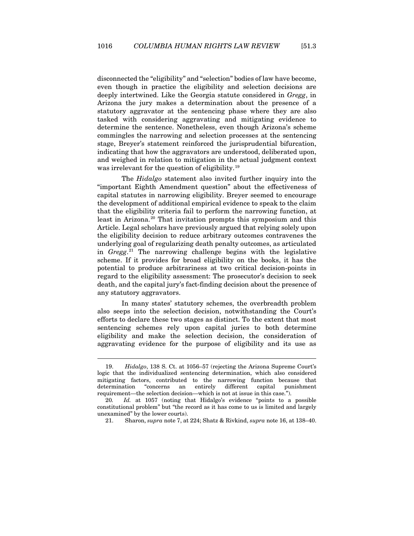disconnected the "eligibility" and "selection" bodies of law have become, even though in practice the eligibility and selection decisions are deeply intertwined. Like the Georgia statute considered in *Gregg*, in Arizona the jury makes a determination about the presence of a statutory aggravator at the sentencing phase where they are also tasked with considering aggravating and mitigating evidence to determine the sentence. Nonetheless, even though Arizona's scheme commingles the narrowing and selection processes at the sentencing stage, Breyer's statement reinforced the jurisprudential bifurcation, indicating that how the aggravators are understood, deliberated upon, and weighed in relation to mitigation in the actual judgment context was irrelevant for the question of eligibility.<sup>[19](#page-6-0)</sup>

The *Hidalgo* statement also invited further inquiry into the "important Eighth Amendment question" about the effectiveness of capital statutes in narrowing eligibility. Breyer seemed to encourage the development of additional empirical evidence to speak to the claim that the eligibility criteria fail to perform the narrowing function, at least in Arizona.<sup>[20](#page-6-1)</sup> That invitation prompts this symposium and this Article. Legal scholars have previously argued that relying solely upon the eligibility decision to reduce arbitrary outcomes contravenes the underlying goal of regularizing death penalty outcomes, as articulated in *Gregg*. [21](#page-6-2) The narrowing challenge begins with the legislative scheme. If it provides for broad eligibility on the books, it has the potential to produce arbitrariness at two critical decision-points in regard to the eligibility assessment: The prosecutor's decision to seek death, and the capital jury's fact-finding decision about the presence of any statutory aggravators.

In many states' statutory schemes, the overbreadth problem also seeps into the selection decision, notwithstanding the Court's efforts to declare these two stages as distinct. To the extent that most sentencing schemes rely upon capital juries to both determine eligibility and make the selection decision, the consideration of aggravating evidence for the purpose of eligibility and its use as

<span id="page-6-0"></span><sup>19.</sup> *Hidalgo*, 138 S. Ct. at 1056–57 (rejecting the Arizona Supreme Court's logic that the individualized sentencing determination, which also considered mitigating factors, contributed to the narrowing function because that determination "concerns an entirely different capital punishment requirement—the selection decision—which is not at issue in this case.").

<span id="page-6-2"></span><span id="page-6-1"></span><sup>20</sup>*. Id.* at 1057 (noting that Hidalgo's evidence "points to a possible constitutional problem" but "the record as it has come to us is limited and largely unexamined" by the lower courts).

<sup>21.</sup> Sharon, *supra* not[e 7,](#page-3-8) at 224; Shatz & Rivkind, *supra* not[e 16,](#page-5-6) at 138–40.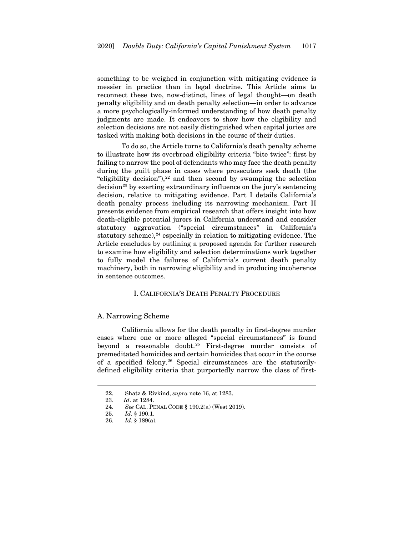something to be weighed in conjunction with mitigating evidence is messier in practice than in legal doctrine. This Article aims to reconnect these two, now-distinct, lines of legal thought—on death penalty eligibility and on death penalty selection—in order to advance a more psychologically-informed understanding of how death penalty judgments are made. It endeavors to show how the eligibility and selection decisions are not easily distinguished when capital juries are tasked with making both decisions in the course of their duties.

To do so, the Article turns to California's death penalty scheme to illustrate how its overbroad eligibility criteria "bite twice": first by failing to narrow the pool of defendants who may face the death penalty during the guilt phase in cases where prosecutors seek death (the "eligibility decision"), $22$  and then second by swamping the selection  $\frac{1}{2}$  decision<sup>[23](#page-7-3)</sup> by exerting extraordinary influence on the jury's sentencing decision, relative to mitigating evidence. Part I details California's death penalty process including its narrowing mechanism. Part II presents evidence from empirical research that offers insight into how death-eligible potential jurors in California understand and consider statutory aggravation ("special circumstances" in California's statutory scheme), $24$  especially in relation to mitigating evidence. The Article concludes by outlining a proposed agenda for further research to examine how eligibility and selection determinations work together to fully model the failures of California's current death penalty machinery, both in narrowing eligibility and in producing incoherence in sentence outcomes.

## I. CALIFORNIA'S DEATH PENALTY PROCEDURE

#### <span id="page-7-1"></span><span id="page-7-0"></span>A. Narrowing Scheme

California allows for the death penalty in first-degree murder cases where one or more alleged "special circumstances" is found beyond a reasonable doubt.<sup>[25](#page-7-5)</sup> First-degree murder consists of premeditated homicides and certain homicides that occur in the course of a specified felony.[26](#page-7-6) Special circumstances are the statutorilydefined eligibility criteria that purportedly narrow the class of first-

<sup>22.</sup> Shatz & Rivkind, *supra* not[e 16,](#page-5-6) at 1283.

<span id="page-7-3"></span><span id="page-7-2"></span><sup>23</sup>*. Id*. at 1284.

<span id="page-7-5"></span><span id="page-7-4"></span><sup>24.</sup> *See* CAL. PENAL CODE § 190.2(a) (West 2019).

<sup>25.</sup> *Id.* § 190.1.

<span id="page-7-6"></span><sup>26.</sup> *Id.* § 189(a).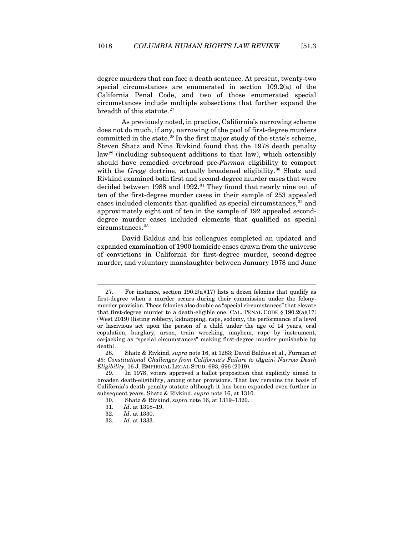degree murders that can face a death sentence. At present, twenty-two special circumstances are enumerated in section 109.2(a) of the California Penal Code, and two of those enumerated special circumstances include multiple subsections that further expand the breadth of this statute.<sup>[27](#page-8-0)</sup>

<span id="page-8-7"></span>As previously noted, in practice, California's narrowing scheme does not do much, if any, narrowing of the pool of first-degree murders committed in the state.<sup>[28](#page-8-1)</sup> In the first major study of the state's scheme, Steven Shatz and Nina Rivkind found that the 1978 death penalty law[29](#page-8-2) (including subsequent additions to that law), which ostensibly should have remedied overbroad pre-*Furman* eligibility to comport with the *Gregg* doctrine, actually broadened eligibility.<sup>[30](#page-8-3)</sup> Shatz and Rivkind examined both first and second-degree murder cases that were decided between 1988 and 1992.<sup>[31](#page-8-4)</sup> They found that nearly nine out of ten of the first-degree murder cases in their sample of 253 appealed cases included elements that qualified as special circumstances,<sup>[32](#page-8-5)</sup> and approximately eight out of ten in the sample of 192 appealed seconddegree murder cases included elements that qualified as special circumstances.<sup>[33](#page-8-6)</sup>

David Baldus and his colleagues completed an updated and expanded examination of 1900 homicide cases drawn from the universe of convictions in California for first-degree murder, second-degree murder, and voluntary manslaughter between January 1978 and June

<span id="page-8-0"></span><sup>27.</sup> For instance, section  $190.2(a)(17)$  lists a dozen felonies that qualify as first-degree when a murder occurs during their commission under the felonymurder provision. These felonies also double as "special circumstances" that elevate that first-degree murder to a death-eligible one. CAL. PENAL CODE  $\S 190.2(a)(17)$ (West 2019) (listing robbery, kidnapping, rape, sodomy, the performance of a lewd or lascivious act upon the person of a child under the age of 14 years, oral copulation, burglary, arson, train wrecking, mayhem, rape by instrument, carjacking as "special circumstances" making first-degree murder punishable by death).

<span id="page-8-1"></span><sup>28.</sup> Shatz & Rivkind, *supra* not[e 16,](#page-5-6) at 1283; David Baldus et al., Furman *at 45: Constitutional Challenges from California's Failure to (Again) Narrow Death Eligibility*, 16 J. EMPIRICAL LEGAL STUD. 693, 696 (2019).

<span id="page-8-4"></span><span id="page-8-3"></span><span id="page-8-2"></span><sup>29.</sup> In 1978, voters approved a ballot proposition that explicitly aimed to broaden death-eligibility, among other provisions. That law remains the basis of California's death penalty statute although it has been expanded even further in subsequent years. Shatz & Rivkind, *supra* not[e 16,](#page-5-6) at 1310.

<sup>30.</sup> Shatz & Rivkind, *supra* not[e 16,](#page-5-6) at 1319–1320.

<span id="page-8-6"></span><span id="page-8-5"></span><sup>31</sup>*. Id*. at 1318–19.

<sup>32</sup>*. Id*. at 1330.

<sup>33</sup>*. Id*. at 1333.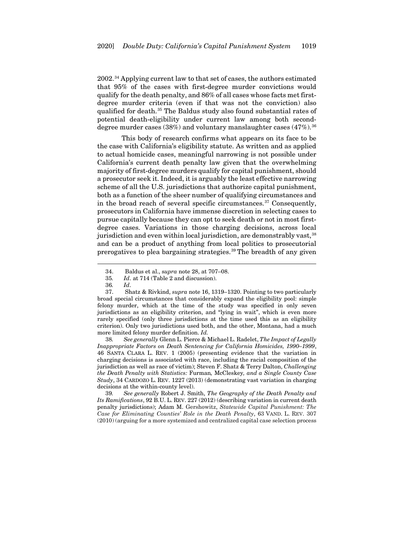2002.[34](#page-9-0) Applying current law to that set of cases, the authors estimated that 95% of the cases with first-degree murder convictions would qualify for the death penalty, and 86% of all cases whose facts met firstdegree murder criteria (even if that was not the conviction) also qualified for death.<sup>[35](#page-9-1)</sup> The Baldus study also found substantial rates of potential death-eligibility under current law among both seconddegree murder cases  $(38%)$  and voluntary manslaughter cases  $(47%)$ .<sup>[36](#page-9-2)</sup>

This body of research confirms what appears on its face to be the case with California's eligibility statute. As written and as applied to actual homicide cases, meaningful narrowing is not possible under California's current death penalty law given that the overwhelming majority of first-degree murders qualify for capital punishment, should a prosecutor seek it. Indeed, it is arguably the least effective narrowing scheme of all the U.S. jurisdictions that authorize capital punishment, both as a function of the sheer number of qualifying circumstances and in the broad reach of several specific circumstances. $37$  Consequently, prosecutors in California have immense discretion in selecting cases to pursue capitally because they can opt to seek death or not in most firstdegree cases. Variations in those charging decisions, across local jurisdiction and even within local jurisdiction, are demonstrably vast,<sup>[38](#page-9-4)</sup> and can be a product of anything from local politics to prosecutorial prerogatives to plea bargaining strategies.[39](#page-9-5) The breadth of any given

<span id="page-9-3"></span><span id="page-9-2"></span><span id="page-9-1"></span><span id="page-9-0"></span>37. Shatz & Rivkind, *supra* not[e 16,](#page-5-6) 1319–1320. Pointing to two particularly broad special circumstances that considerably expand the eligibility pool: simple felony murder, which at the time of the study was specified in only seven jurisdictions as an eligibility criterion, and "lying in wait", which is even more rarely specified (only three jurisdictions at the time used this as an eligibility criterion). Only two jurisdictions used both, and the other, Montana, had a much more limited felony murder definition. *Id.*

<span id="page-9-4"></span>38*. See generally* Glenn L. Pierce & Michael L. Radelet, *The Impact of Legally Inappropriate Factors on Death Sentencing for California Homicides, 1990–1999*, 46 SANTA CLARA L. REV. 1 (2005) (presenting evidence that the variation in charging decisions is associated with race, including the racial composition of the jurisdiction as well as race of victim); Steven F. Shatz & Terry Dalton, *Challenging the Death Penalty with Statistics:* Furman*,* McCleskey*, and a Single County Case Study*, 34 CARDOZO L. REV. 1227 (2013) (demonstrating vast variation in charging decisions at the within-county level).

<span id="page-9-5"></span>39*. See generally* Robert J. Smith, *The Geography of the Death Penalty and Its Ramifications*, 92 B.U. L. REV. 227 (2012) (describing variation in current death penalty jurisdictions); Adam M. Gershowitz, *Statewide Capital Punishment: The Case for Eliminating Counties' Role in the Death Penalty*, 63 VAND. L. REV. 307 (2010) (arguing for a more systemized and centralized capital case selection process

<span id="page-9-7"></span><span id="page-9-6"></span><sup>34.</sup> Baldus et al., s*upra* not[e 28,](#page-8-7) at 707–08.

<sup>35</sup>*. Id*. at 714 (Table 2 and discussion).

<sup>36</sup>*. Id*.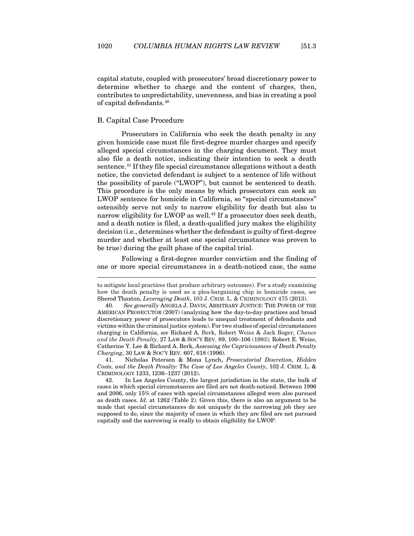capital statute, coupled with prosecutors' broad discretionary power to determine whether to charge and the content of charges, then, contributes to unpredictability, unevenness, and bias in creating a pool of capital defendants.[40](#page-10-1)

#### <span id="page-10-0"></span>B. Capital Case Procedure

Prosecutors in California who seek the death penalty in any given homicide case must file first-degree murder charges and specify alleged special circumstances in the charging document. They must also file a death notice, indicating their intention to seek a death sentence.<sup>[41](#page-10-2)</sup> If they file special circumstance allegations without a death notice, the convicted defendant is subject to a sentence of life without the possibility of parole ("LWOP"), but cannot be sentenced to death. This procedure is the only means by which prosecutors can seek an LWOP sentence for homicide in California, so "special circumstances" ostensibly serve not only to narrow eligibility for death but also to narrow eligibility for LWOP as well.<sup>[42](#page-10-3)</sup> If a prosecutor does seek death, and a death notice is filed, a death-qualified jury makes the eligibility decision (i.e., determines whether the defendant is guilty of first-degree murder and whether at least one special circumstance was proven to be true) during the guilt phase of the capital trial.

Following a first-degree murder conviction and the finding of one or more special circumstances in a death-noticed case, the same

<span id="page-10-2"></span>41. Nicholas Petersen & Mona Lynch, *Prosecutorial Discretion, Hidden Costs, and the Death Penalty: The Case of Los Angeles County*, 102 J. CRIM. L. & CRIMINOLOGY 1233, 1236–1237 (2012).

to mitigate local practices that produce arbitrary outcomes). For a study examining how the death penalty is used as a plea-bargaining chip in homicide cases, *see* Sherod Thaxton, *Leveraging Death*, 103 J. CRIM. L. & CRIMINOLOGY 475 (2013).

<span id="page-10-1"></span><sup>40</sup>*. See generally* ANGELA J. DAVIS, ARBITRARY JUSTICE: THE POWER OF THE AMERICAN PROSECUTOR (2007) (analyzing how the day-to-day practices and broad discretionary power of prosecutors leads to unequal treatment of defendants and victims within the criminal justice system). For two studies of special circumstances charging in California, *see* Richard A. Berk, Robert Weiss & Jack Boger, *Chance and the Death Penalty,* 27 LAW & SOC'Y REV. 89, 100–106 (1993); Robert E. Weiss, Catherine Y. Lee & Richard A. Berk, *Assessing the Capriciousness of Death Penalty Charging*, 30 LAW & SOC'Y REV. 607, 618 (1996).

<span id="page-10-3"></span><sup>42.</sup> In Los Angeles County, the largest jurisdiction in the state, the bulk of cases in which special circumstances are filed are not death-noticed. Between 1996 and 2006, only 15% of cases with special circumstances alleged were also pursued as death cases. *Id.* at 1262 (Table 2). Given this, there is also an argument to be made that special circumstances do not uniquely do the narrowing job they are supposed to do, since the majority of cases in which they are filed are not pursued capitally and the narrowing is really to obtain eligibility for LWOP.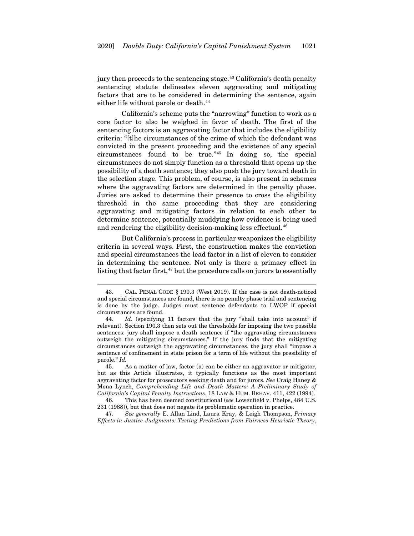jury then proceeds to the sentencing stage.<sup>[43](#page-11-0)</sup> California's death penalty sentencing statute delineates eleven aggravating and mitigating factors that are to be considered in determining the sentence, again either life without parole or death.<sup>[44](#page-11-1)</sup>

California's scheme puts the "narrowing" function to work as a core factor to also be weighed in favor of death. The first of the sentencing factors is an aggravating factor that includes the eligibility criteria: "[t]he circumstances of the crime of which the defendant was convicted in the present proceeding and the existence of any special circumstances found to be true."[45](#page-11-2) In doing so, the special circumstances do not simply function as a threshold that opens up the possibility of a death sentence; they also push the jury toward death in the selection stage. This problem, of course, is also present in schemes where the aggravating factors are determined in the penalty phase. Juries are asked to determine their presence to cross the eligibility threshold in the same proceeding that they are considering aggravating and mitigating factors in relation to each other to determine sentence, potentially muddying how evidence is being used and rendering the eligibility decision-making less effectual.<sup>[46](#page-11-3)</sup>

But California's process in particular weaponizes the eligibility criteria in several ways. First, the construction makes the conviction and special circumstances the lead factor in a list of eleven to consider in determining the sentence. Not only is there a primacy effect in listing that factor first,<sup>[47](#page-11-4)</sup> but the procedure calls on jurors to essentially

<span id="page-11-2"></span>45. As a matter of law, factor (a) can be either an aggravator or mitigator, but as this Article illustrates, it typically functions as the most important aggravating factor for prosecutors seeking death and for jurors. *See* Craig Haney & Mona Lynch, *Comprehending Life and Death Matters: A Preliminary Study of California's Capital Penalty Instructions*, 18 LAW & HUM. BEHAV. 411, 422 (1994).

<span id="page-11-3"></span>46. This has been deemed constitutional (*see* Lowenfield v. Phelps, 484 U.S. 231 (1988)), but that does not negate its problematic operation in practice.

<span id="page-11-4"></span>47. *See generally* E. Allan Lind, Laura Kray, & Leigh Thompson, *Primacy Effects in Justice Judgments: Testing Predictions from Fairness Heuristic Theory*,

<span id="page-11-0"></span><sup>43.</sup> CAL. PENAL CODE § 190.3 (West 2019). If the case is not death-noticed and special circumstances are found, there is no penalty phase trial and sentencing is done by the judge. Judges must sentence defendants to LWOP if special circumstances are found.

<span id="page-11-1"></span><sup>44.</sup> *Id.* (specifying 11 factors that the jury "shall take into account" if relevant). Section 190.3 then sets out the thresholds for imposing the two possible sentences: jury shall impose a death sentence if "the aggravating circumstances outweigh the mitigating circumstances." If the jury finds that the mitigating circumstances outweigh the aggravating circumstances, the jury shall "impose a sentence of confinement in state prison for a term of life without the possibility of parole." *Id.*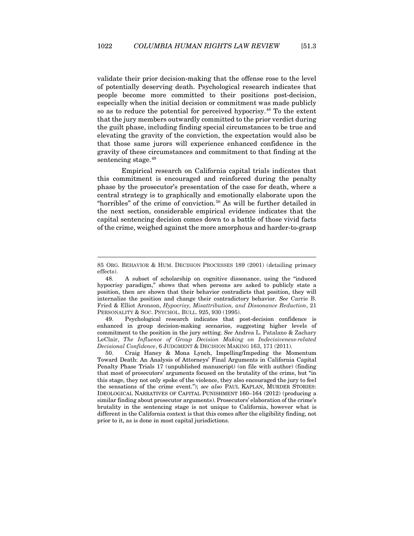validate their prior decision-making that the offense rose to the level of potentially deserving death. Psychological research indicates that people become more committed to their positions post-decision, especially when the initial decision or commitment was made publicly so as to reduce the potential for perceived hypocrisy.[48](#page-12-0) To the extent that the jury members outwardly committed to the prior verdict during the guilt phase, including finding special circumstances to be true and elevating the gravity of the conviction, the expectation would also be that those same jurors will experience enhanced confidence in the gravity of these circumstances and commitment to that finding at the sentencing stage.<sup>[49](#page-12-1)</sup>

<span id="page-12-3"></span>Empirical research on California capital trials indicates that this commitment is encouraged and reinforced during the penalty phase by the prosecutor's presentation of the case for death, where a central strategy is to graphically and emotionally elaborate upon the "horribles" of the crime of conviction.<sup>[50](#page-12-2)</sup> As will be further detailed in the next section, considerable empirical evidence indicates that the capital sentencing decision comes down to a battle of those vivid facts of the crime, weighed against the more amorphous and harder-to-grasp

<span id="page-12-1"></span>49. Psychological research indicates that post-decision confidence is enhanced in group decision-making scenarios, suggesting higher levels of commitment to the position in the jury setting. *See* Andrea L. Patalano & Zachary LeClair, *The Influence of Group Decision Making on Indecisiveness-related Decisional Confidence*, 6 JUDGMENT & DECISION MAKING 163, 171 (2011).

<sup>85</sup> ORG. BEHAVIOR & HUM. DECISION PROCESSES 189 (2001) (detailing primacy effects).

<span id="page-12-0"></span><sup>48.</sup> A subset of scholarship on cognitive dissonance, using the "induced hypocrisy paradigm," shows that when persons are asked to publicly state a position, then are shown that their behavior contradicts that position, they will internalize the position and change their contradictory behavior. *See* Carrie B. Fried & Elliot Aronson, *Hypocrisy, Misattribution, and Dissonance Reduction*, 21 PERSONALITY & SOC. PSYCHOL. BULL. 925, 930 (1995).

<span id="page-12-2"></span><sup>50.</sup> Craig Haney & Mona Lynch, Impelling/Impeding the Momentum Toward Death: An Analysis of Attorneys' Final Arguments in California Capital Penalty Phase Trials 17 (unpublished manuscript) (on file with author) (finding that most of prosecutors' arguments focused on the brutality of the crime, but "in this stage, they not only spoke of the violence, they also encouraged the jury to feel the sensations of the crime event."); *see also* PAUL KAPLAN, MURDER STORIES: IDEOLOGICAL NARRATIVES OF CAPITAL PUNISHMENT 160–164 (2012) (producing a similar finding about prosecutor arguments). Prosecutors' elaboration of the crime's brutality in the sentencing stage is not unique to California, however what is different in the California context is that this comes after the eligibility finding, not prior to it, as is done in most capital jurisdictions.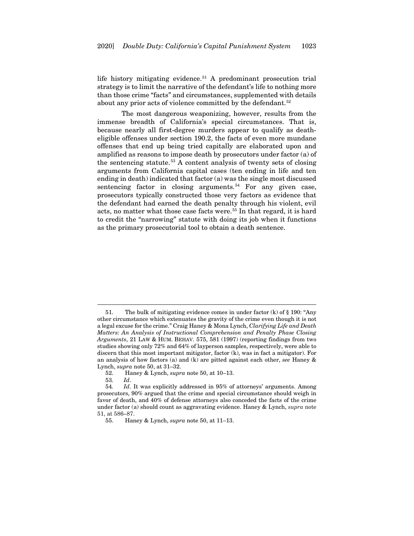<span id="page-13-0"></span>life history mitigating evidence.<sup>[51](#page-13-1)</sup> A predominant prosecution trial strategy is to limit the narrative of the defendant's life to nothing more than those crime "facts" and circumstances, supplemented with details about any prior acts of violence committed by the defendant.<sup>[52](#page-13-2)</sup>

The most dangerous weaponizing, however, results from the immense breadth of California's special circumstances. That is, because nearly all first-degree murders appear to qualify as deatheligible offenses under section 190.2, the facts of even more mundane offenses that end up being tried capitally are elaborated upon and amplified as reasons to impose death by prosecutors under factor (a) of the sentencing statute.<sup>[53](#page-13-3)</sup> A content analysis of twenty sets of closing arguments from California capital cases (ten ending in life and ten ending in death) indicated that factor (a) was the single most discussed sentencing factor in closing arguments.<sup>[54](#page-13-4)</sup> For any given case, prosecutors typically constructed those very factors as evidence that the defendant had earned the death penalty through his violent, evil acts, no matter what those case facts were.<sup>[55](#page-13-5)</sup> In that regard, it is hard to credit the "narrowing" statute with doing its job when it functions as the primary prosecutorial tool to obtain a death sentence.

<span id="page-13-1"></span><sup>51.</sup> The bulk of mitigating evidence comes in under factor (k) of § 190: "Any other circumstance which extenuates the gravity of the crime even though it is not a legal excuse for the crime." Craig Haney & Mona Lynch, *Clarifying Life and Death Matters: An Analysis of Instructional Comprehension and Penalty Phase Closing Arguments*, 21 LAW & HUM. BEHAV. 575, 581 (1997) (reporting findings from two studies showing only 72% and 64% of layperson samples, respectively, were able to discern that this most important mitigator, factor (k), was in fact a mitigator). For an analysis of how factors (a) and (k) are pitted against each other, *see* Haney & Lynch, *supra* not[e 50,](#page-12-3) at 31–32.

<sup>52.</sup> Haney & Lynch, *supra* not[e 50,](#page-12-3) at 10–13.

<sup>53</sup>*. Id*.

<span id="page-13-5"></span><span id="page-13-4"></span><span id="page-13-3"></span><span id="page-13-2"></span><sup>54</sup>*. Id*. It was explicitly addressed in 95% of attorneys' arguments. Among prosecutors, 90% argued that the crime and special circumstance should weigh in favor of death, and 40% of defense attorneys also conceded the facts of the crime under factor (a) should count as aggravating evidence. Haney & Lynch, *supra* note [51,](#page-13-0) at 586–87.

<sup>55.</sup> Haney & Lynch, *supra* not[e 50,](#page-12-3) at 11–13.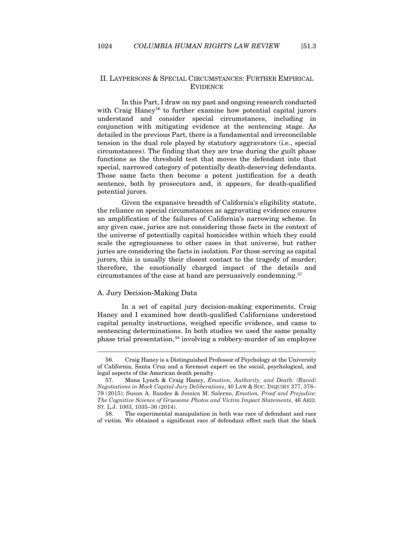## <span id="page-14-0"></span>II. LAYPERSONS & SPECIAL CIRCUMSTANCES: FURTHER EMPIRICAL EVIDENCE

In this Part, I draw on my past and ongoing research conducted with Craig Haney<sup>[56](#page-14-2)</sup> to further examine how potential capital jurors understand and consider special circumstances, including in conjunction with mitigating evidence at the sentencing stage. As detailed in the previous Part, there is a fundamental and irreconcilable tension in the dual role played by statutory aggravators (i.e., special circumstances). The finding that they are true during the guilt phase functions as the threshold test that moves the defendant into that special, narrowed category of potentially death-deserving defendants. Those same facts then become a potent justification for a death sentence, both by prosecutors and, it appears, for death-qualified potential jurors.

Given the expansive breadth of California's eligibility statute, the reliance on special circumstances as aggravating evidence ensures an amplification of the failures of California's narrowing scheme. In any given case, juries are not considering those facts in the context of the universe of potentially capital homicides within which they could scale the egregiousness to other cases in that universe, but rather juries are considering the facts in isolation. For those serving as capital jurors, this is usually their closest contact to the tragedy of murder; therefore, the emotionally charged impact of the details and circumstances of the case at hand are persuasively condemning.[57](#page-14-3)

#### <span id="page-14-5"></span><span id="page-14-1"></span>A. Jury Decision-Making Data

In a set of capital jury decision-making experiments, Craig Haney and I examined how death-qualified Californians understood capital penalty instructions, weighed specific evidence, and came to sentencing determinations. In both studies we used the same penalty phase trial presentation,<sup>[58](#page-14-4)</sup> involving a robbery-murder of an employee

<span id="page-14-2"></span><sup>56.</sup> Craig Haney is a Distinguished Professor of Psychology at the University of California, Santa Cruz and a foremost expert on the social, psychological, and legal aspects of the American death penalty.

<span id="page-14-3"></span><sup>57.</sup> Mona Lynch & Craig Haney, *Emotion, Authority, and Death: (Raced) Negotiations in Mock Capital Jury Deliberations*, 40 LAW & SOC. INQUIRY 377, 378– 79 (2015); Susan A. Bandes & Jessica M. Salerno, *Emotion, Proof and Prejudice: The Cognitive Science of Gruesome Photos and Victim Impact Statements*, 46 ARIZ. ST. L.J. 1003, 1035–36 (2014).

<span id="page-14-4"></span><sup>58.</sup> The experimental manipulation in both was race of defendant and race of victim. We obtained a significant race of defendant effect such that the black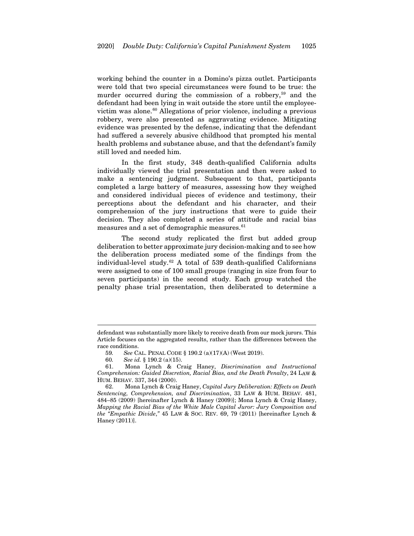working behind the counter in a Domino's pizza outlet. Participants were told that two special circumstances were found to be true: the murder occurred during the commission of a robbery,<sup>[59](#page-15-0)</sup> and the defendant had been lying in wait outside the store until the employee-victim was alone.<sup>[60](#page-15-1)</sup> Allegations of prior violence, including a previous robbery, were also presented as aggravating evidence. Mitigating evidence was presented by the defense, indicating that the defendant had suffered a severely abusive childhood that prompted his mental health problems and substance abuse, and that the defendant's family still loved and needed him.

In the first study, 348 death-qualified California adults individually viewed the trial presentation and then were asked to make a sentencing judgment. Subsequent to that, participants completed a large battery of measures, assessing how they weighed and considered individual pieces of evidence and testimony, their perceptions about the defendant and his character, and their comprehension of the jury instructions that were to guide their decision. They also completed a series of attitude and racial bias measures and a set of demographic measures.<sup>[61](#page-15-2)</sup>

<span id="page-15-5"></span><span id="page-15-4"></span>The second study replicated the first but added group deliberation to better approximate jury decision-making and to see how the deliberation process mediated some of the findings from the individual-level study.[62](#page-15-3) A total of 539 death-qualified Californians were assigned to one of 100 small groups (ranging in size from four to seven participants) in the second study. Each group watched the penalty phase trial presentation, then deliberated to determine a

defendant was substantially more likely to receive death from our mock jurors. This Article focuses on the aggregated results, rather than the differences between the race conditions.

<sup>59</sup>*. See* CAL. PENAL CODE § 190.2 (a)(17)(A) (West 2019).

<sup>60</sup>*. See id.* § 190.2 (a)(15).

<span id="page-15-2"></span><span id="page-15-1"></span><span id="page-15-0"></span><sup>61.</sup> Mona Lynch & Craig Haney, *Discrimination and Instructional Comprehension: Guided Discretion, Racial Bias, and the Death Penalty*, 24 LAW & HUM. BEHAV. 337, 344 (2000).

<span id="page-15-3"></span><sup>62.</sup> Mona Lynch & Craig Haney, *Capital Jury Deliberation: Effects on Death Sentencing, Comprehension, and Discrimination*, 33 LAW & HUM. BEHAV. 481, 484–85 (2009) [hereinafter Lynch & Haney (2009)]; Mona Lynch & Craig Haney, *Mapping the Racial Bias of the White Male Capital Juror: Jury Composition and the "Empathic Divide*,*"* 45 LAW & SOC. REV. 69, 79 (2011) [hereinafter Lynch & Haney (2011)].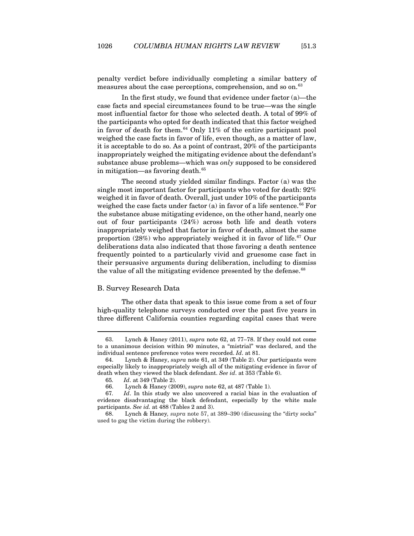penalty verdict before individually completing a similar battery of measures about the case perceptions, comprehension, and so on.<sup>[63](#page-16-1)</sup>

In the first study, we found that evidence under factor (a)—the case facts and special circumstances found to be true—was the single most influential factor for those who selected death. A total of 99% of the participants who opted for death indicated that this factor weighed in favor of death for them. $64$  Only 11% of the entire participant pool weighed the case facts in favor of life, even though, as a matter of law, it is acceptable to do so. As a point of contrast, 20% of the participants inappropriately weighed the mitigating evidence about the defendant's substance abuse problems—which was *only* supposed to be considered in mitigation—as favoring death.<sup>[65](#page-16-3)</sup>

The second study yielded similar findings. Factor (a) was the single most important factor for participants who voted for death: 92% weighed it in favor of death. Overall, just under 10% of the participants weighed the case facts under factor (a) in favor of a life sentence.<sup>[66](#page-16-4)</sup> For the substance abuse mitigating evidence, on the other hand, nearly one out of four participants (24%) across both life and death voters inappropriately weighed that factor in favor of death, almost the same proportion (28%) who appropriately weighed it in favor of life.[67](#page-16-5) Our deliberations data also indicated that those favoring a death sentence frequently pointed to a particularly vivid and gruesome case fact in their persuasive arguments during deliberation, including to dismiss the value of all the mitigating evidence presented by the defense.<sup>[68](#page-16-6)</sup>

#### <span id="page-16-0"></span>B. Survey Research Data

The other data that speak to this issue come from a set of four high-quality telephone surveys conducted over the past five years in three different California counties regarding capital cases that were

<span id="page-16-1"></span><sup>63.</sup> Lynch & Haney (2011), *supra* note [62,](#page-15-4) at 77–78. If they could not come to a unanimous decision within 90 minutes, a "mistrial" was declared, and the individual sentence preference votes were recorded. *Id*. at 81.

<span id="page-16-2"></span><sup>64.</sup> Lynch & Haney, *supra* not[e 61,](#page-15-5) at 349 (Table 2). Our participants were especially likely to inappropriately weigh all of the mitigating evidence in favor of death when they viewed the black defendant. *See id*. at 353 (Table 6).

<sup>65</sup>*. Id*. at 349 (Table 2).

<sup>66.</sup> Lynch & Haney (2009), *supra* not[e 62,](#page-15-4) at 487 (Table 1).

<span id="page-16-5"></span><span id="page-16-4"></span><span id="page-16-3"></span><sup>67</sup>*. Id*. In this study we also uncovered a racial bias in the evaluation of evidence disadvantaging the black defendant, especially by the white male participants. *See id.* at 488 (Tables 2 and 3).

<span id="page-16-6"></span><sup>68.</sup> Lynch & Haney*, supra* not[e 57,](#page-14-5) at 389–390 (discussing the "dirty socks" used to gag the victim during the robbery).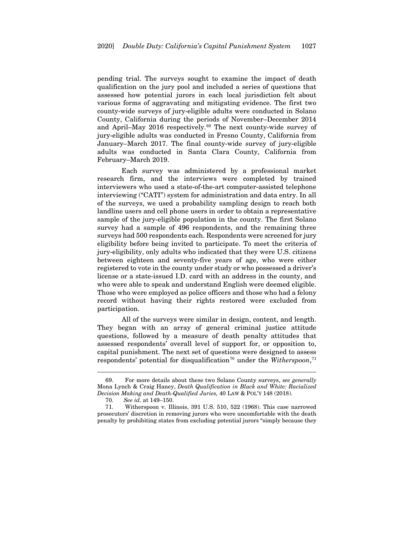pending trial. The surveys sought to examine the impact of death qualification on the jury pool and included a series of questions that assessed how potential jurors in each local jurisdiction felt about various forms of aggravating and mitigating evidence. The first two county-wide surveys of jury-eligible adults were conducted in Solano County, California during the periods of November–December 2014 and April–May 2016 respectively.<sup>[69](#page-17-0)</sup> The next county-wide survey of jury-eligible adults was conducted in Fresno County, California from January–March 2017. The final county-wide survey of jury-eligible adults was conducted in Santa Clara County, California from February–March 2019.

<span id="page-17-3"></span>Each survey was administered by a professional market research firm, and the interviews were completed by trained interviewers who used a state-of-the-art computer-assisted telephone interviewing ("CATI") system for administration and data entry. In all of the surveys, we used a probability sampling design to reach both landline users and cell phone users in order to obtain a representative sample of the jury-eligible population in the county. The first Solano survey had a sample of 496 respondents, and the remaining three surveys had 500 respondents each. Respondents were screened for jury eligibility before being invited to participate. To meet the criteria of jury-eligibility, only adults who indicated that they were U.S. citizens between eighteen and seventy-five years of age, who were either registered to vote in the county under study or who possessed a driver's license or a state-issued I.D. card with an address in the county, and who were able to speak and understand English were deemed eligible. Those who were employed as police officers and those who had a felony record without having their rights restored were excluded from participation.

All of the surveys were similar in design, content, and length. They began with an array of general criminal justice attitude questions, followed by a measure of death penalty attitudes that assessed respondents' overall level of support for, or opposition to, capital punishment. The next set of questions were designed to assess respondents' potential for disqualification<sup>[70](#page-17-1)</sup> under the *Witherspoon*,<sup>[71](#page-17-2)</sup>

<span id="page-17-0"></span><sup>69.</sup> For more details about these two Solano County surveys, *see generally*  Mona Lynch & Craig Haney, *Death Qualification in Black and White: Racialized Decision Making and Death‐Qualified Juries,* 40 LAW & POL'Y 148 (2018).

<sup>70</sup>*. See id*. at 149–150.

<span id="page-17-2"></span><span id="page-17-1"></span><sup>71.</sup> Witherspoon v. Illinois, 391 U.S. 510, 522 (1968). This case narrowed prosecutors' discretion in removing jurors who were uncomfortable with the death penalty by prohibiting states from excluding potential jurors "simply because they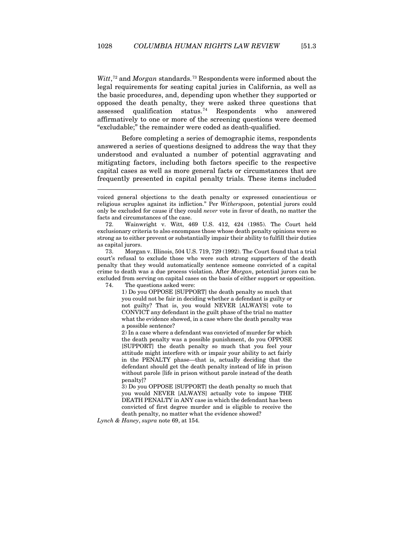Witt,<sup>[72](#page-18-0)</sup> and *Morgan* standards.<sup>[73](#page-18-1)</sup> Respondents were informed about the legal requirements for seating capital juries in California, as well as the basic procedures, and, depending upon whether they supported or opposed the death penalty, they were asked three questions that assessed qualification status.<sup>[74](#page-18-2)</sup> Respondents who answered affirmatively to one or more of the screening questions were deemed "excludable;" the remainder were coded as death-qualified.

Before completing a series of demographic items, respondents answered a series of questions designed to address the way that they understood and evaluated a number of potential aggravating and mitigating factors, including both factors specific to the respective capital cases as well as more general facts or circumstances that are frequently presented in capital penalty trials. These items included

<span id="page-18-2"></span><span id="page-18-1"></span>73. Morgan v. Illinois, 504 U.S. 719, 729 (1992). The Court found that a trial court's refusal to exclude those who were such strong supporters of the death penalty that they would automatically sentence someone convicted of a capital crime to death was a due process violation. After *Morgan*, potential jurors can be excluded from serving on capital cases on the basis of either support or opposition.

74. The questions asked were:

1) Do you OPPOSE [SUPPORT] the death penalty so much that you could not be fair in deciding whether a defendant is guilty or not guilty? That is, you would NEVER [ALWAYS] vote to CONVICT any defendant in the guilt phase of the trial no matter what the evidence showed, in a case where the death penalty was a possible sentence?

2) In a case where a defendant was convicted of murder for which the death penalty was a possible punishment, do you OPPOSE [SUPPORT] the death penalty so much that you feel your attitude might interfere with or impair your ability to act fairly in the PENALTY phase—that is, actually deciding that the defendant should get the death penalty instead of life in prison without parole [life in prison without parole instead of the death penalty]?

3) Do you OPPOSE [SUPPORT] the death penalty so much that you would NEVER [ALWAYS] actually vote to impose THE DEATH PENALTY in ANY case in which the defendant has been convicted of first degree murder and is eligible to receive the death penalty, no matter what the evidence showed?

*Lynch & Haney*, *supra* note [69,](#page-17-3) at 154.

voiced general objections to the death penalty or expressed conscientious or religious scruples against its infliction." Per *Witherspoon*, potential jurors could only be excluded for cause if they could *never* vote in favor of death, no matter the facts and circumstances of the case.

<span id="page-18-0"></span><sup>72.</sup> Wainwright v. Witt, 469 U.S. 412, 424 (1985). The Court held exclusionary criteria to also encompass those whose death penalty opinions were so strong as to either prevent or substantially impair their ability to fulfill their duties as capital jurors.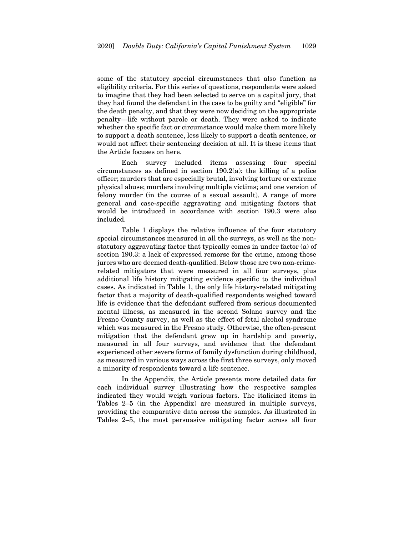some of the statutory special circumstances that also function as eligibility criteria. For this series of questions, respondents were asked to imagine that they had been selected to serve on a capital jury, that they had found the defendant in the case to be guilty and "eligible" for the death penalty, and that they were now deciding on the appropriate penalty—life without parole or death. They were asked to indicate whether the specific fact or circumstance would make them more likely to support a death sentence, less likely to support a death sentence, or would not affect their sentencing decision at all. It is these items that the Article focuses on here.

Each survey included items assessing four special circumstances as defined in section 190.2(a): the killing of a police officer; murders that are especially brutal, involving torture or extreme physical abuse; murders involving multiple victims; and one version of felony murder (in the course of a sexual assault). A range of more general and case-specific aggravating and mitigating factors that would be introduced in accordance with section 190.3 were also included.

Table 1 displays the relative influence of the four statutory special circumstances measured in all the surveys, as well as the nonstatutory aggravating factor that typically comes in under factor (a) of section 190.3: a lack of expressed remorse for the crime, among those jurors who are deemed death-qualified. Below those are two non-crimerelated mitigators that were measured in all four surveys, plus additional life history mitigating evidence specific to the individual cases. As indicated in Table 1, the only life history-related mitigating factor that a majority of death-qualified respondents weighed toward life is evidence that the defendant suffered from serious documented mental illness, as measured in the second Solano survey and the Fresno County survey, as well as the effect of fetal alcohol syndrome which was measured in the Fresno study. Otherwise, the often-present mitigation that the defendant grew up in hardship and poverty, measured in all four surveys, and evidence that the defendant experienced other severe forms of family dysfunction during childhood, as measured in various ways across the first three surveys, only moved a minority of respondents toward a life sentence.

In the Appendix, the Article presents more detailed data for each individual survey illustrating how the respective samples indicated they would weigh various factors. The italicized items in Tables 2–5 (in the Appendix) are measured in multiple surveys, providing the comparative data across the samples. As illustrated in Tables 2–5, the most persuasive mitigating factor across all four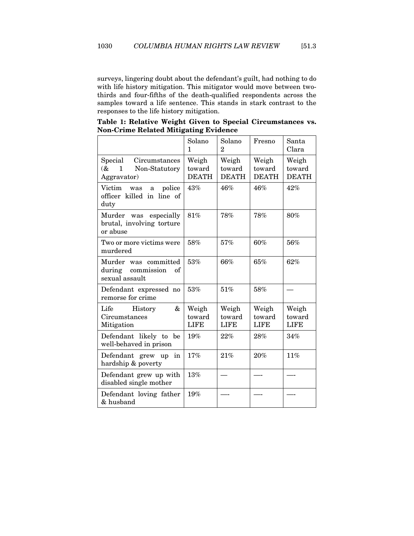surveys, lingering doubt about the defendant's guilt, had nothing to do with life history mitigation. This mitigator would move between twothirds and four-fifths of the death-qualified respondents across the samples toward a life sentence. This stands in stark contrast to the responses to the life history mitigation.

|                                                                                     | Solano<br>1                     | Solano<br>$\overline{2}$        | Fresno                          | Santa<br>Clara                  |
|-------------------------------------------------------------------------------------|---------------------------------|---------------------------------|---------------------------------|---------------------------------|
| Special<br>Circumstances<br>$\infty$<br>$\mathbf 1$<br>Non-Statutory<br>Aggravator) | Weigh<br>toward<br><b>DEATH</b> | Weigh<br>toward<br><b>DEATH</b> | Weigh<br>toward<br><b>DEATH</b> | Weigh<br>toward<br><b>DEATH</b> |
| Victim was a<br>police<br>officer killed in line of<br>duty                         | 43%                             | 46%                             | 46%                             | 42%                             |
| Murder was<br>especially<br>brutal, involving torture<br>or abuse                   | 81%                             | 78%                             | 78%                             | 80%                             |
| Two or more victims were<br>murdered                                                | 58%                             | 57%                             | 60%                             | 56%                             |
| Murder was committed<br>during commission<br>οf<br>sexual assault                   | 53%                             | 66%                             | 65%                             | 62%                             |
| Defendant expressed no<br>remorse for crime                                         | 53%                             | 51%                             | 58%                             |                                 |
| &<br>Life History<br>Circumstances<br>Mitigation                                    | Weigh<br>toward<br><b>LIFE</b>  | Weigh<br>toward<br><b>LIFE</b>  | Weigh<br>toward<br><b>LIFE</b>  | Weigh<br>toward<br><b>LIFE</b>  |
| Defendant likely to be<br>well-behaved in prison                                    | 19%                             | 22%                             | 28%                             | 34%                             |
| Defendant grew up<br>in<br>hardship & poverty                                       | 17%                             | 21%                             | 20%                             | 11%                             |
| Defendant grew up with<br>disabled single mother                                    | 13%                             |                                 |                                 |                                 |
| Defendant loving father<br>& husband                                                | 19%                             |                                 |                                 |                                 |

**Table 1: Relative Weight Given to Special Circumstances vs. Non-Crime Related Mitigating Evidence**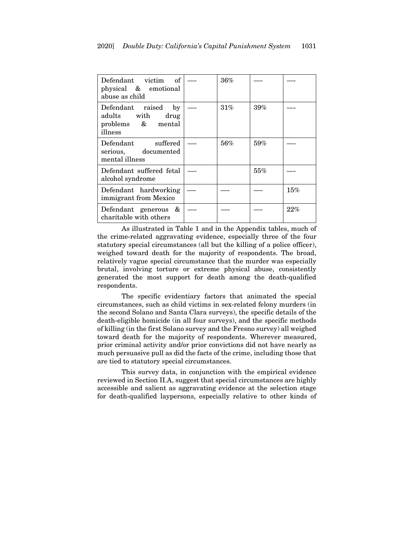| Defendant victim<br>of<br>physical & emotional<br>abuse as child                       | 36%    |     |     |
|----------------------------------------------------------------------------------------|--------|-----|-----|
| Defendant raised<br>$_{\rm by}$<br>adults with<br>drug<br>problems & mental<br>illness | 31%    | 39% |     |
| suffered<br>Defendant<br>serious, documented<br>mental illness                         | $56\%$ | 59% |     |
| Defendant suffered fetal<br>alcohol syndrome                                           |        | 55% |     |
| Defendant hardworking<br>immigrant from Mexico                                         |        |     | 15% |
| Defendant generous &<br>charitable with others                                         |        |     | 22% |

As illustrated in Table 1 and in the Appendix tables, much of the crime-related aggravating evidence, especially three of the four statutory special circumstances (all but the killing of a police officer), weighed toward death for the majority of respondents. The broad, relatively vague special circumstance that the murder was especially brutal, involving torture or extreme physical abuse, consistently generated the most support for death among the death-qualified respondents.

The specific evidentiary factors that animated the special circumstances, such as child victims in sex-related felony murders (in the second Solano and Santa Clara surveys), the specific details of the death-eligible homicide (in all four surveys), and the specific methods of killing (in the first Solano survey and the Fresno survey) all weighed toward death for the majority of respondents. Wherever measured, prior criminal activity and/or prior convictions did not have nearly as much persuasive pull as did the facts of the crime, including those that are tied to statutory special circumstances.

This survey data, in conjunction with the empirical evidence reviewed in Section II.A, suggest that special circumstances are highly accessible and salient as aggravating evidence at the selection stage for death-qualified laypersons, especially relative to other kinds of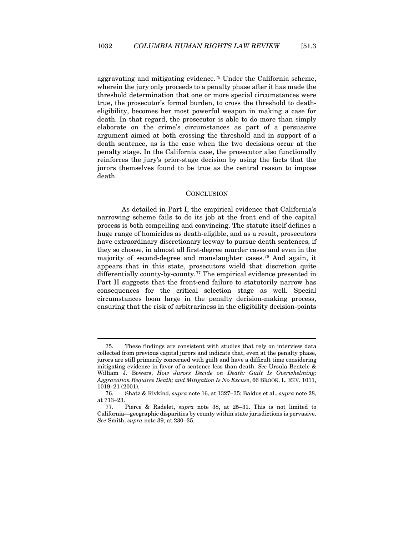aggravating and mitigating evidence.[75](#page-22-1) Under the California scheme, wherein the jury only proceeds to a penalty phase after it has made the threshold determination that one or more special circumstances were true, the prosecutor's formal burden, to cross the threshold to deatheligibility, becomes her most powerful weapon in making a case for death. In that regard, the prosecutor is able to do more than simply elaborate on the crime's circumstances as part of a persuasive argument aimed at both crossing the threshold and in support of a death sentence, as is the case when the two decisions occur at the penalty stage. In the California case, the prosecutor also functionally reinforces the jury's prior-stage decision by using the facts that the jurors themselves found to be true as the central reason to impose death.

#### **CONCLUSION**

<span id="page-22-0"></span>As detailed in Part I, the empirical evidence that California's narrowing scheme fails to do its job at the front end of the capital process is both compelling and convincing. The statute itself defines a huge range of homicides as death-eligible, and as a result, prosecutors have extraordinary discretionary leeway to pursue death sentences, if they so choose, in almost all first-degree murder cases and even in the majority of second-degree and manslaughter cases.[76](#page-22-2) And again, it appears that in this state, prosecutors wield that discretion quite differentially county-by-county.<sup>[77](#page-22-3)</sup> The empirical evidence presented in Part II suggests that the front-end failure to statutorily narrow has consequences for the critical selection stage as well. Special circumstances loom large in the penalty decision-making process, ensuring that the risk of arbitrariness in the eligibility decision-points

<span id="page-22-1"></span><sup>75.</sup> These findings are consistent with studies that rely on interview data collected from previous capital jurors and indicate that, even at the penalty phase, jurors are still primarily concerned with guilt and have a difficult time considering mitigating evidence in favor of a sentence less than death. *See* Ursula Bentele & William J. Bowers, *How Jurors Decide on Death: Guilt Is Overwhelming; Aggravation Requires Death; and Mitigation Is No Excuse*, 66 BROOK. L. REV. 1011, 1019–21 (2001).

<span id="page-22-2"></span><sup>76.</sup> Shatz & Rivkind, *supra* not[e 16,](#page-5-6) at 1327–35; Baldus et al., *supra* not[e 28,](#page-8-7)  at 713–23.

<span id="page-22-3"></span><sup>77.</sup> Pierce & Radelet, *supra* note [38,](#page-9-6) at 25–31. This is not limited to California—geographic disparities by county within state jurisdictions is pervasive. *See* Smith, *supra* not[e 39,](#page-9-7) at 230–35.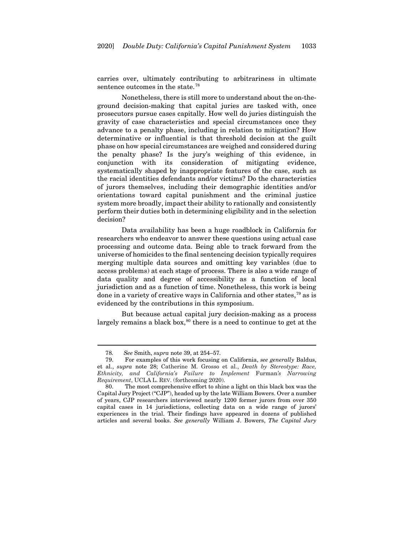carries over, ultimately contributing to arbitrariness in ultimate sentence outcomes in the state.<sup>[78](#page-23-0)</sup>

Nonetheless, there is still more to understand about the on-theground decision-making that capital juries are tasked with, once prosecutors pursue cases capitally. How well do juries distinguish the gravity of case characteristics and special circumstances once they advance to a penalty phase, including in relation to mitigation? How determinative or influential is that threshold decision at the guilt phase on how special circumstances are weighed and considered during the penalty phase? Is the jury's weighing of this evidence, in conjunction with its consideration of mitigating evidence, systematically shaped by inappropriate features of the case, such as the racial identities defendants and/or victims? Do the characteristics of jurors themselves, including their demographic identities and/or orientations toward capital punishment and the criminal justice system more broadly, impact their ability to rationally and consistently perform their duties both in determining eligibility and in the selection decision?

Data availability has been a huge roadblock in California for researchers who endeavor to answer these questions using actual case processing and outcome data. Being able to track forward from the universe of homicides to the final sentencing decision typically requires merging multiple data sources and omitting key variables (due to access problems) at each stage of process. There is also a wide range of data quality and degree of accessibility as a function of local jurisdiction and as a function of time. Nonetheless, this work is being done in a variety of creative ways in California and other states,[79](#page-23-1) as is evidenced by the contributions in this symposium.

But because actual capital jury decision-making as a process largely remains a black box,<sup>[80](#page-23-2)</sup> there is a need to continue to get at the

<sup>78</sup>*. See* Smith, *supra* not[e 39,](#page-9-7) at 254–57*.*

<span id="page-23-1"></span><span id="page-23-0"></span><sup>79.</sup> For examples of this work focusing on California, *see generally* Baldus, et al., *supra* note [28;](#page-8-7) Catherine M. Grosso et al., *Death by Stereotype: Race, Ethnicity, and California's Failure to Implement* Furman*'s Narrowing Requirement*, UCLA L. REV. (forthcoming 2020).

<span id="page-23-2"></span>The most comprehensive effort to shine a light on this black box was the Capital Jury Project ("CJP"), headed up by the late William Bowers. Over a number of years, CJP researchers interviewed nearly 1200 former jurors from over 350 capital cases in 14 jurisdictions, collecting data on a wide range of jurors' experiences in the trial. Their findings have appeared in dozens of published articles and several books. *See generally* William J. Bowers, *The Capital Jury*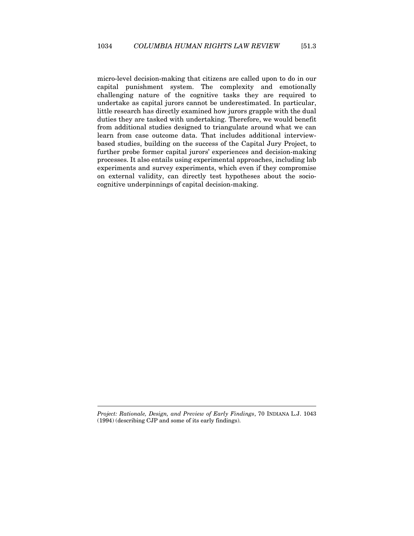micro-level decision-making that citizens are called upon to do in our capital punishment system. The complexity and emotionally challenging nature of the cognitive tasks they are required to undertake as capital jurors cannot be underestimated. In particular, little research has directly examined how jurors grapple with the dual duties they are tasked with undertaking. Therefore, we would benefit from additional studies designed to triangulate around what we can learn from case outcome data. That includes additional interviewbased studies, building on the success of the Capital Jury Project, to further probe former capital jurors' experiences and decision-making processes. It also entails using experimental approaches, including lab experiments and survey experiments, which even if they compromise on external validity, can directly test hypotheses about the sociocognitive underpinnings of capital decision-making.

*Project: Rationale, Design, and Preview of Early Findings*, 70 INDIANA L.J. 1043 (1994) (describing CJP and some of its early findings).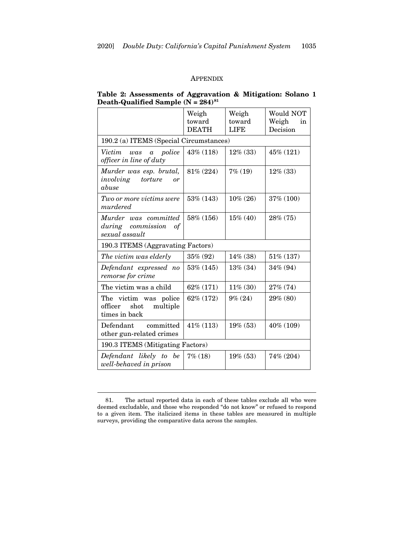## APPENDIX

<span id="page-25-0"></span>

| Table 2: Assessments of Aggravation & Mitigation: Solano 1 |  |
|------------------------------------------------------------|--|
| Death-Qualified Sample $(N = 284)^{81}$                    |  |

|                                                                       | Weigh<br>toward<br><b>DEATH</b> | Weigh<br>toward<br><b>LIFE</b> | Would NOT<br>Weigh<br>in<br>Decision |
|-----------------------------------------------------------------------|---------------------------------|--------------------------------|--------------------------------------|
| 190.2 (a) ITEMS (Special Circumstances)                               |                                 |                                |                                      |
| Victim<br>police<br>was<br>$\alpha$<br>officer in line of duty        | 43% (118)                       | $12\%$ (33)                    | 45% (121)                            |
| Murder was esp. brutal,<br>involving<br>torture<br>or<br>abuse        | $81\% (224)$                    | $7\%$ (19)                     | $12\%$ (33)                          |
| Two or more victims were<br>murdered                                  | 53% (143)                       | $10\% (26)$                    | 37% (100)                            |
| Murder was committed<br>during commission<br>of<br>sexual assault     | 58% (156)                       | $15\%$ (40)                    | 28% (75)                             |
| 190.3 ITEMS (Aggravating Factors)                                     |                                 |                                |                                      |
| The victim was elderly                                                | 35% (92)                        | 14% (38)                       | 51% (137)                            |
| Defendant expressed no<br>remorse for crime                           | 53% (145)                       | 13% (34)                       | 34% (94)                             |
| The victim was a child                                                | 62% (171)                       | $11\% (30)$                    | 27% (74)                             |
| The victim was police<br>shot<br>officer<br>multiple<br>times in back | 62% (172)                       | $9\% (24)$                     | 29% (80)                             |
| Defendant committed<br>other gun-related crimes                       | 41% (113)                       | 19% (53)                       | 40% (109)                            |
| 190.3 ITEMS (Mitigating Factors)                                      |                                 |                                |                                      |
| Defendant likely to be<br>well-behaved in prison                      | $7\%$ (18)                      | 19% (53)                       | 74% (204)                            |

<span id="page-25-1"></span><sup>81.</sup> The actual reported data in each of these tables exclude all who were deemed excludable, and those who responded "do not know" or refused to respond to a given item. The italicized items in these tables are measured in multiple surveys, providing the comparative data across the samples.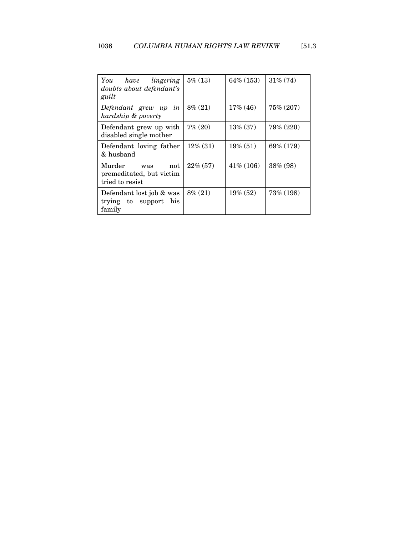| lingering<br>You have<br>doubts about defendant's<br>guilt          | $5\%$ (13)  | $64\%$ (153) | $31\% (74)$ |
|---------------------------------------------------------------------|-------------|--------------|-------------|
| Defendant grew up<br>in<br>hardship & poverty                       | $8\% (21)$  | $17\%$ (46)  | 75% (207)   |
| Defendant grew up with<br>disabled single mother                    | $7\% (20)$  | 13% (37)     | 79% (220)   |
| Defendant loving father<br>& husband                                | $12\%$ (31) | $19\% (51)$  | 69% (179)   |
| Murder<br>not<br>was<br>premeditated, but victim<br>tried to resist | $22\%$ (57) | $41\%$ (106) | $38\%$ (98) |
| Defendant lost job & was<br>trying to support<br>his<br>family      | $8\% (21)$  | $19\%$ (52)  | 73\% (198)  |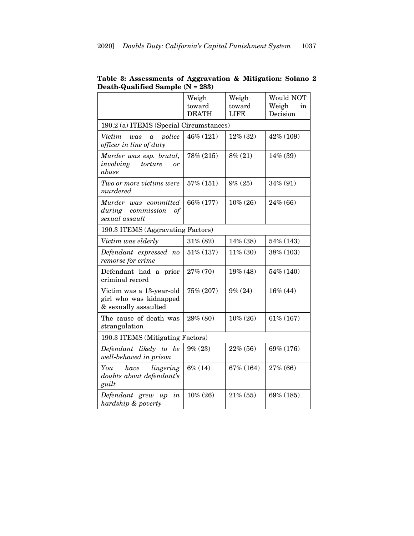|                                                                            | Weigh<br>toward<br><b>DEATH</b> | Weigh<br>toward<br><b>LIFE</b> | Would NOT<br>Weigh<br>in<br>Decision |
|----------------------------------------------------------------------------|---------------------------------|--------------------------------|--------------------------------------|
| 190.2 (a) ITEMS (Special Circumstances)                                    |                                 |                                |                                      |
| Victim<br>police<br>was<br>$\alpha$<br>officer in line of duty             | 46% (121)                       | 12% (32)                       | 42% (109)                            |
| Murder was esp. brutal,<br>involving<br>torture<br>or<br>abuse             | 78% (215)                       | $8\% (21)$                     | 14% (39)                             |
| Two or more victims were<br>murdered                                       | 57% (151)                       | $9\% (25)$                     | 34% (91)                             |
| Murder was committed<br>during commission<br>$\sigma f$<br>sexual assault  | 66% (177)                       | $10\% (26)$                    | 24% (66)                             |
| 190.3 ITEMS (Aggravating Factors)                                          |                                 |                                |                                      |
| Victim was elderly                                                         | 31% (82)                        | $14\%$ (38)                    | 54% (143)                            |
| Defendant expressed no<br>remorse for crime                                | 51% (137)                       | $11\% (30)$                    | 38% (103)                            |
| Defendant had a prior<br>criminal record                                   | 27% (70)                        | 19% (48)                       | 54% (140)                            |
| Victim was a 13-year-old<br>girl who was kidnapped<br>& sexually assaulted | 75% (207)                       | $9\% (24)$                     | 16% (44)                             |
| The cause of death was<br>strangulation                                    | 29% (80)                        | $10\% (26)$                    | 61% (167)                            |
| 190.3 ITEMS (Mitigating Factors)                                           |                                 |                                |                                      |
| Defendant likely to be<br>well-behaved in prison                           | $9\% (23)$                      | 22% (56)                       | 69% (176)                            |
| You<br>have<br>lingering<br>doubts about defendant's<br>guilt              | $6\% (14)$                      | 67% (164)                      | 27% (66)                             |
| in<br>Defendant grew<br>up<br>hardship & poverty                           | $10\% (26)$                     | $21\% (55)$                    | 69% (185)                            |

## **Table 3: Assessments of Aggravation & Mitigation: Solano 2 Death-Qualified Sample (N = 283)**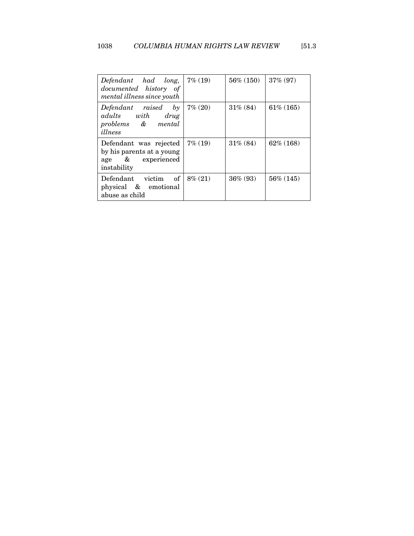| Defendant had long,<br>documented history of<br>mental illness since youth              | $7\%$ (19) | $56\%$ (150) | $37\% (97)$  |
|-----------------------------------------------------------------------------------------|------------|--------------|--------------|
| Defendant raised<br>by<br>adults with drug<br>problems & mental<br>illness              | $7\%~(20)$ | $31\% (84)$  | $61\%$ (165) |
| Defendant was rejected<br>by his parents at a young<br>age & experienced<br>instability | $7\%$ (19) | $31\% (84)$  | $62\%$ (168) |
| of<br>Defendant victim<br>physical & emotional<br>abuse as child                        | $8\%~(21)$ | $36\% (93)$  | $56\%$ (145) |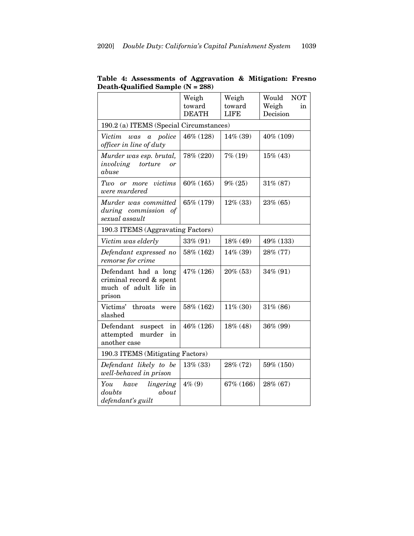|                                                                                    | Weigh<br>toward<br><b>DEATH</b>  | Weigh<br>toward<br><b>LIFE</b> | Would<br><b>NOT</b><br>Weigh<br>in<br>Decision |  |
|------------------------------------------------------------------------------------|----------------------------------|--------------------------------|------------------------------------------------|--|
| 190.2 (a) ITEMS (Special Circumstances)                                            |                                  |                                |                                                |  |
| Victim<br>police<br>was<br>$\boldsymbol{a}$<br>officer in line of duty             | 46% (128)                        | 14% (39)                       | 40% (109)                                      |  |
| Murder was esp. brutal,<br>torture<br>involving<br>or<br>abuse                     | 78% (220)                        | $7\%$ (19)                     | $15\%$ (43)                                    |  |
| more victims<br>Two<br>$\overline{or}$<br>were murdered                            | $60\%$ (165)                     | $9\% (25)$                     | 31% (87)                                       |  |
| Murder was committed<br>during commission of<br>sexual assault                     | 65% (179)                        | $12\%$ (33)                    | 23% (65)                                       |  |
| 190.3 ITEMS (Aggravating Factors)                                                  |                                  |                                |                                                |  |
| Victim was elderly                                                                 | 33% (91)                         | 18% (49)                       | 49% (133)                                      |  |
| Defendant expressed no<br>remorse for crime                                        | 58% (162)                        | 14% (39)                       | 28% (77)                                       |  |
| Defendant had a long<br>criminal record & spent<br>much of adult life in<br>prison | 47% (126)                        | $20\%$ (53)                    | 34% (91)                                       |  |
| Victims'<br>throats<br>were<br>slashed                                             | 58% (162)                        | $11\% (30)$                    | 31% (86)                                       |  |
| Defendant<br>in<br>suspect<br>attempted<br>murder<br>in<br>another case            | 46% (126)                        | 18% (48)                       | 36% (99)                                       |  |
|                                                                                    | 190.3 ITEMS (Mitigating Factors) |                                |                                                |  |
| Defendant likely to be<br>well-behaved in prison                                   | 13% (33)                         | 28% (72)                       | 59% (150)                                      |  |
| You<br>have lingering<br>doubts<br>about<br>defendant's guilt                      | $4\%$ (9)                        | 67% (166)                      | 28% (67)                                       |  |

**Table 4: Assessments of Aggravation & Mitigation: Fresno Death-Qualified Sample (N = 288)**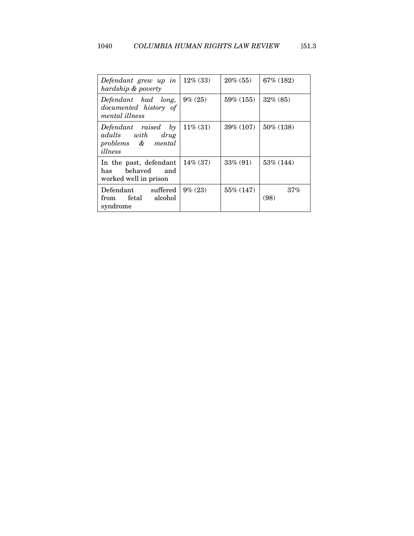| Defendant grew up in<br>hardship & poverty                              | $12\%$ (33) | $20\% (55)$    | $67\%$ (182) |
|-------------------------------------------------------------------------|-------------|----------------|--------------|
| Defendant had long,<br>documented history of<br>mental illness          | $9\% (25)$  | $59\%$ $(155)$ | $32\%$ (85)  |
| Defendant raised by<br>adults with drug<br>problems & mental<br>illness | $11\% (31)$ | $39\%$ (107)   | 50% (138)    |
| In the past, defendant<br>behaved and<br>has<br>worked well in prison   | $14\%$ (37) | $33\% (91)$    | 53\% (144)   |
| Defendant suffered<br>from fetal alcohol<br>syndrome                    | $9\% (23)$  | 55% (147)      | 37%<br>(98)  |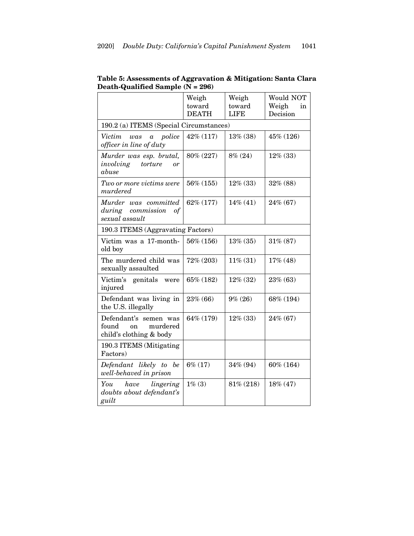|                                                                             | Weigh<br>toward<br><b>DEATH</b> | Weigh<br>toward<br><b>LIFE</b> | Would NOT<br>Weigh<br>in<br>Decision |
|-----------------------------------------------------------------------------|---------------------------------|--------------------------------|--------------------------------------|
| 190.2 (a) ITEMS (Special Circumstances)                                     |                                 |                                |                                      |
| Victim<br>police<br>was<br>$\alpha$<br>officer in line of duty              | 42% (117)                       | 13% (38)                       | 45% (126)                            |
| Murder was esp. brutal,<br>involving<br>torture<br>or<br>abuse              | 80% (227)                       | $8\% (24)$                     | $12\%$ (33)                          |
| Two or more victims were<br>murdered                                        | 56% (155)                       | $12\%$ (33)                    | 32% (88)                             |
| Murder was committed<br>during commission<br>οf<br>sexual assault           | 62% (177)                       | $14\%$ (41)                    | 24% (67)                             |
| 190.3 ITEMS (Aggravating Factors)                                           |                                 |                                |                                      |
| Victim was a 17-month-<br>old boy                                           | 56% (156)                       | $13\% (35)$                    | 31% (87)                             |
| The murdered child was<br>sexually assaulted                                | 72% (203)                       | $11\% (31)$                    | 17% (48)                             |
| Victim's genitals<br>were<br>injured                                        | 65% (182)                       | $12\%$ (32)                    | 23% (63)                             |
| Defendant was living in<br>the U.S. illegally                               | 23% (66)                        | $9\% (26)$                     | 68% (194)                            |
| Defendant's semen was<br>found<br>murdered<br>on<br>child's clothing & body | 64% (179)                       | $12\%$ (33)                    | 24% (67)                             |
| 190.3 ITEMS (Mitigating<br>Factors)                                         |                                 |                                |                                      |
| Defendant likely to be<br>well-behaved in prison                            | $6\% (17)$                      | 34% (94)                       | 60% (164)                            |
| You<br>have<br>lingering<br>doubts about defendant's<br>guilt               | $1\% (3)$                       | 81% (218)                      | $18\% (47)$                          |

**Table 5: Assessments of Aggravation & Mitigation: Santa Clara Death-Qualified Sample (N = 296)**